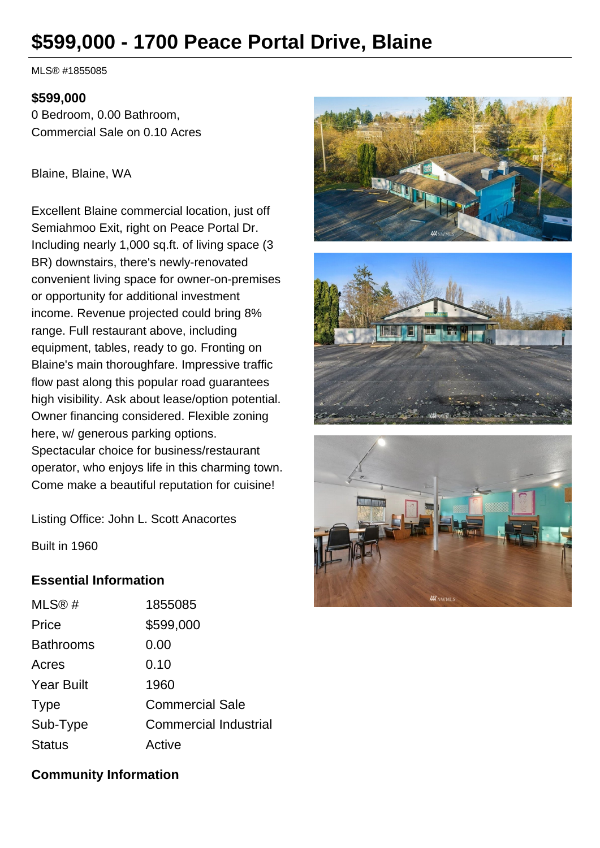# **\$599,000 - 1700 Peace Portal Drive, Blaine**

MLS® #1855085

#### **\$599,000**

0 Bedroom, 0.00 Bathroom, Commercial Sale on 0.10 Acres

Blaine, Blaine, WA

Excellent Blaine commercial location, just off Semiahmoo Exit, right on Peace Portal Dr. Including nearly 1,000 sq.ft. of living space (3 BR) downstairs, there's newly-renovated convenient living space for owner-on-premises or opportunity for additional investment income. Revenue projected could bring 8% range. Full restaurant above, including equipment, tables, ready to go. Fronting on Blaine's main thoroughfare. Impressive traffic flow past along this popular road guarantees high visibility. Ask about lease/option potential. Owner financing considered. Flexible zoning here, w/ generous parking options. Spectacular choice for business/restaurant operator, who enjoys life in this charming town. Come make a beautiful reputation for cuisine!

Listing Office: John L. Scott Anacortes







Built in 1960

# **Essential Information**

| 1855085                      |
|------------------------------|
| \$599,000                    |
| 0.00                         |
| 0.10                         |
| 1960                         |
| <b>Commercial Sale</b>       |
| <b>Commercial Industrial</b> |
| Active                       |
|                              |

## **Community Information**